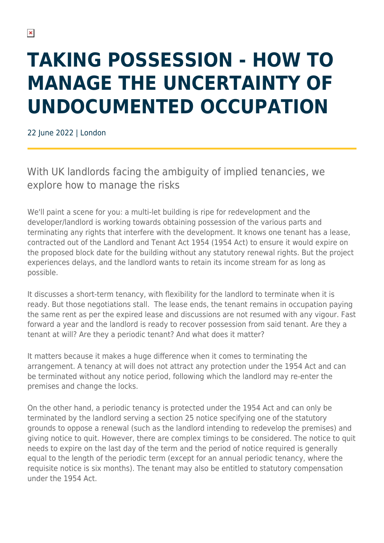# **TAKING POSSESSION - HOW TO MANAGE THE UNCERTAINTY OF UNDOCUMENTED OCCUPATION**

22 June 2022 | London

With UK landlords facing the ambiguity of implied tenancies, we explore how to manage the risks

We'll paint a scene for you: a multi-let building is ripe for redevelopment and the developer/landlord is working towards obtaining possession of the various parts and terminating any rights that interfere with the development. It knows one tenant has a lease, contracted out of the Landlord and Tenant Act 1954 (1954 Act) to ensure it would expire on the proposed block date for the building without any statutory renewal rights. But the project experiences delays, and the landlord wants to retain its income stream for as long as possible.

It discusses a short-term tenancy, with flexibility for the landlord to terminate when it is ready. But those negotiations stall. The lease ends, the tenant remains in occupation paying the same rent as per the expired lease and discussions are not resumed with any vigour. Fast forward a year and the landlord is ready to recover possession from said tenant. Are they a tenant at will? Are they a periodic tenant? And what does it matter?

It matters because it makes a huge difference when it comes to terminating the arrangement. A tenancy at will does not attract any protection under the 1954 Act and can be terminated without any notice period, following which the landlord may re-enter the premises and change the locks.

On the other hand, a periodic tenancy is protected under the 1954 Act and can only be terminated by the landlord serving a section 25 notice specifying one of the statutory grounds to oppose a renewal (such as the landlord intending to redevelop the premises) and giving notice to quit. However, there are complex timings to be considered. The notice to quit needs to expire on the last day of the term and the period of notice required is generally equal to the length of the periodic term (except for an annual periodic tenancy, where the requisite notice is six months). The tenant may also be entitled to statutory compensation under the 1954 Act.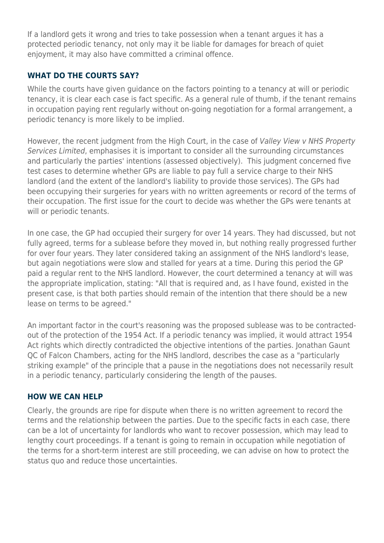If a landlord gets it wrong and tries to take possession when a tenant argues it has a protected periodic tenancy, not only may it be liable for damages for breach of quiet enjoyment, it may also have committed a criminal offence.

#### **WHAT DO THE COURTS SAY?**

While the courts have given guidance on the factors pointing to a tenancy at will or periodic tenancy, it is clear each case is fact specific. As a general rule of thumb, if the tenant remains in occupation paying rent regularly without on-going negotiation for a formal arrangement, a periodic tenancy is more likely to be implied.

However, the recent judgment from the High Court, in the case of Valley View v NHS Property Services Limited, emphasises it is important to consider all the surrounding circumstances and particularly the parties' intentions (assessed objectively). This judgment concerned five test cases to determine whether GPs are liable to pay full a service charge to their NHS landlord (and the extent of the landlord's liability to provide those services). The GPs had been occupying their surgeries for years with no written agreements or record of the terms of their occupation. The first issue for the court to decide was whether the GPs were tenants at will or periodic tenants.

In one case, the GP had occupied their surgery for over 14 years. They had discussed, but not fully agreed, terms for a sublease before they moved in, but nothing really progressed further for over four years. They later considered taking an assignment of the NHS landlord's lease, but again negotiations were slow and stalled for years at a time. During this period the GP paid a regular rent to the NHS landlord. However, the court determined a tenancy at will was the appropriate implication, stating: "All that is required and, as I have found, existed in the present case, is that both parties should remain of the intention that there should be a new lease on terms to be agreed."

An important factor in the court's reasoning was the proposed sublease was to be contractedout of the protection of the 1954 Act. If a periodic tenancy was implied, it would attract 1954 Act rights which directly contradicted the objective intentions of the parties. Jonathan Gaunt QC of Falcon Chambers, acting for the NHS landlord, describes the case as a "particularly striking example" of the principle that a pause in the negotiations does not necessarily result in a periodic tenancy, particularly considering the length of the pauses.

#### **HOW WE CAN HELP**

Clearly, the grounds are ripe for dispute when there is no written agreement to record the terms and the relationship between the parties. Due to the specific facts in each case, there can be a lot of uncertainty for landlords who want to recover possession, which may lead to lengthy court proceedings. If a tenant is going to remain in occupation while negotiation of the terms for a short-term interest are still proceeding, we can advise on how to protect the status quo and reduce those uncertainties.